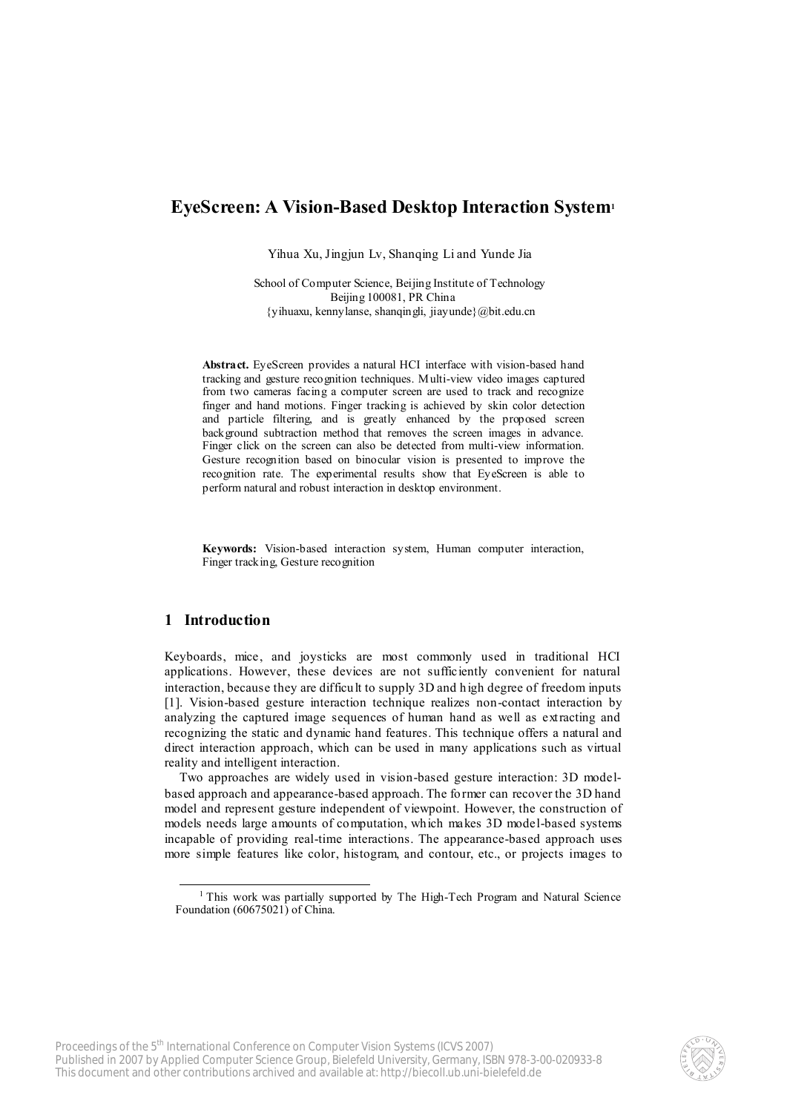# **EyeScreen: A Vision-Based Desktop Interaction System<sup>1</sup>**

Yihua Xu, Jingjun Lv, Shanqing Li and Yunde Jia

School of Computer Science, Beijing Institute of Technology Beijing 100081, PR China {yihuaxu, kennylanse, shanqingli, jiayunde}@bit.edu.cn

**Abstract.** EyeScreen provides a natural HCI interface with vision-based hand tracking and gesture recognition techniques. Multi-view video images captured from two cameras facing a computer screen are used to track and recognize finger and hand motions. Finger tracking is achieved by skin color detection and particle filtering, and is greatly enhanced by the proposed screen background subtraction method that removes the screen images in advance. Finger click on the screen can also be detected from multi-view information. Gesture recognition based on binocular vision is presented to improve the recognition rate. The experimental results show that EyeScreen is able to perform natural and robust interaction in desktop environment.

**Keywords:** Vision-based interaction system, Human computer interaction, Finger tracking, Gesture recognition

# **1 Introduction**

l

Keyboards, mice, and joysticks are most commonly used in traditional HCI applications. However, these devices are not sufficiently convenient for natural interaction, because they are difficult to supply 3D and high degree of freedom inputs [1]. Vision-based gesture interaction technique realizes non-contact interaction by analyzing the captured image sequences of human hand as well as extracting and recognizing the static and dynamic hand features. This technique offers a natural and direct interaction approach, which can be used in many applications such as virtual reality and intelligent interaction.

Two approaches are widely used in vision-based gesture interaction: 3D modelbased approach and appearance-based approach. The former can recover the 3D hand model and represent gesture independent of viewpoint. However, the construction of models needs large amounts of computation, which makes 3D model-based systems incapable of providing real-time interactions. The appearance-based approach uses more simple features like color, histogram, and contour, etc., or projects images to



<sup>&</sup>lt;sup>1</sup> This work was partially supported by The High-Tech Program and Natural Science Foundation (60675021) of China.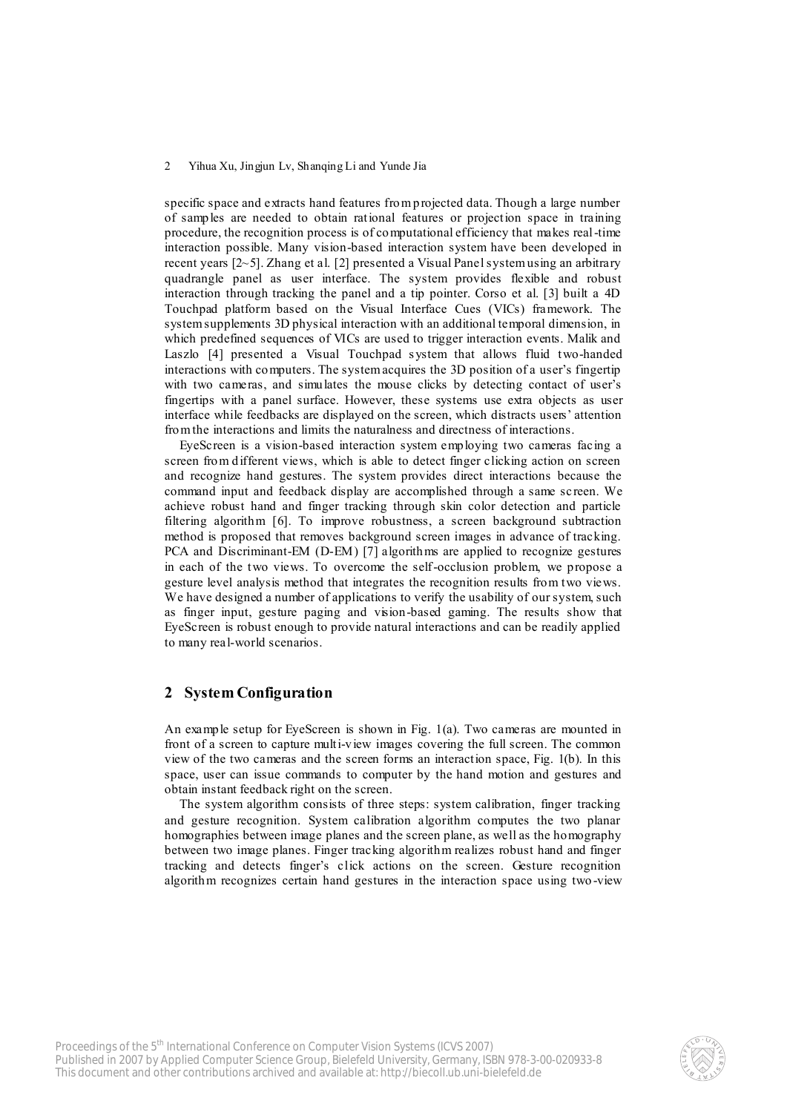specific space and extracts hand features from projected data. Though a large number of samples are needed to obtain rational features or projection space in training procedure, the recognition process is of computational efficiency that makes real-time interaction possible. Many vision-based interaction system have been developed in recent years [2~5]. Zhang et al. [2] presented a Visual Panel system using an arbitrary quadrangle panel as user interface. The system provides flexible and robust interaction through tracking the panel and a tip pointer. Corso et al. [3] built a 4D Touchpad platform based on the Visual Interface Cues (VICs) framework. The system supplements 3D physical interaction with an additional temporal dimension, in which predefined sequences of VICs are used to trigger interaction events. Malik and Laszlo [4] presented a Visual Touchpad system that allows fluid two-handed interactions with computers. The system acquires the 3D position of a user's fingertip with two cameras, and simulates the mouse clicks by detecting contact of user's fingertips with a panel surface. However, these systems use extra objects as user interface while feedbacks are displayed on the screen, which distracts users' attention from the interactions and limits the naturalness and directness of interactions.

EyeScreen is a vision-based interaction system employing two cameras facing a screen from different views, which is able to detect finger clicking action on screen and recognize hand gestures. The system provides direct interactions because the command input and feedback display are accomplished through a same screen. We achieve robust hand and finger tracking through skin color detection and particle filtering algorithm [6]. To improve robustness, a screen background subtraction method is proposed that removes background screen images in advance of tracking. PCA and Discriminant-EM (D-EM) [7] algorithms are applied to recognize gestures in each of the two views. To overcome the self-occlusion problem, we propose a gesture level analysis method that integrates the recognition results from two views. We have designed a number of applications to verify the usability of our system, such as finger input, gesture paging and vision-based gaming. The results show that EyeScreen is robust enough to provide natural interactions and can be readily applied to many real-world scenarios.

### **2 System Configuration**

An example setup for EyeScreen is shown in Fig. 1(a). Two cameras are mounted in front of a screen to capture multi-view images covering the full screen. The common view of the two cameras and the screen forms an interaction space, Fig. 1(b). In this space, user can issue commands to computer by the hand motion and gestures and obtain instant feedback right on the screen.

The system algorithm consists of three steps: system calibration, finger tracking and gesture recognition. System calibration algorithm computes the two planar homographies between image planes and the screen plane, as well as the homography between two image planes. Finger tracking algorithm realizes robust hand and finger tracking and detects finger's click actions on the screen. Gesture recognition algorithm recognizes certain hand gestures in the interaction space using two -view

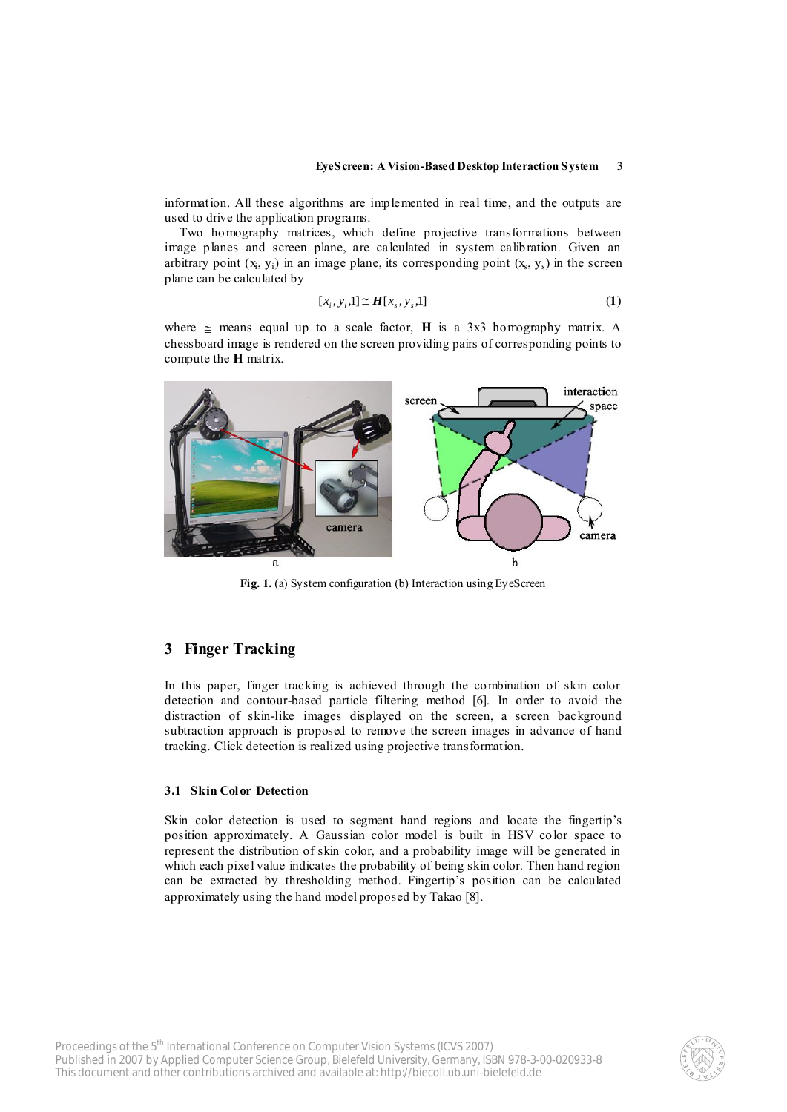information. All these algorithms are implemented in real time, and the outputs are used to drive the application programs.

Two homography matrices, which define projective transformations between image planes and screen plane, are calculated in system calibration. Given an arbitrary point  $(x_i, y_i)$  in an image plane, its corresponding point  $(x_s, y_s)$  in the screen plane can be calculated by

$$
[x_i, y_i, 1] \cong H[x_s, y_s, 1] \tag{1}
$$

where  $\approx$  means equal up to a scale factor, **H** is a 3x3 homography matrix. A chessboard image is rendered on the screen providing pairs of corresponding points to compute the **H** matrix.



**Fig. 1.** (a) System configuration (b) Interaction using EyeScreen

# **3 Finger Tracking**

In this paper, finger tracking is achieved through the combination of skin color detection and contour-based particle filtering method [6]. In order to avoid the distraction of skin-like images displayed on the screen, a screen background subtraction approach is proposed to remove the screen images in advance of hand tracking. Click detection is realized using projective transformation.

### **3.1 Skin Color Detection**

Skin color detection is used to segment hand regions and locate the fingertip's position approximately. A Gaussian color model is built in HSV color space to represent the distribution of skin color, and a probability image will be generated in which each pixel value indicates the probability of being skin color. Then hand region can be extracted by thresholding method. Fingertip's position can be calculated approximately using the hand model proposed by Takao [8].

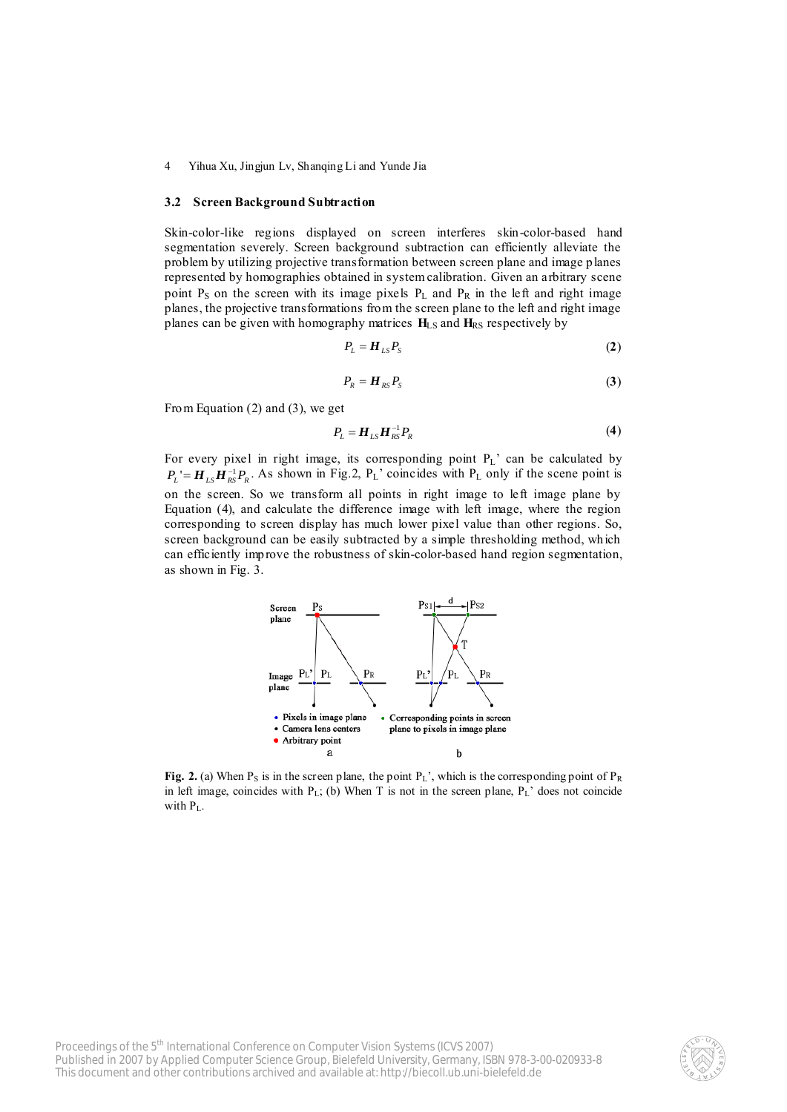#### **3.2 Screen Background Subtraction**

Skin-color-like regions displayed on screen interferes skin-color-based hand segmentation severely. Screen background subtraction can efficiently alleviate the problem by utilizing projective transformation between screen plane and image planes represented by homographies obtained in system calibration. Given an arbitrary scene point  $P_S$  on the screen with its image pixels  $P_L$  and  $P_R$  in the left and right image planes, the projective transformations from the screen plane to the left and right image planes can be given with homography matrices  $H_{LS}$  and  $H_{RS}$  respectively by

$$
P_L = H_{LS} P_S \tag{2}
$$

$$
P_R = H_{RS} P_S \tag{3}
$$

From Equation (2) and (3), we get

$$
P_L = H_{LS} H_{RS}^{-1} P_R \tag{4}
$$

For every pixel in right image, its corresponding point  $P_L$ ' can be calculated by  $P_L' = H_{LS} H_{RS}^{-1} P_R$ . As shown in Fig.2,  $P_L'$  coincides with  $P_L$  only if the scene point is on the screen. So we transform all points in right image to left image plane by Equation (4), and calculate the difference image with left image, where the region corresponding to screen display has much lower pixel value than other regions. So, screen background can be easily subtracted by a simple thresholding method, which can efficiently improve the robustness of skin-color-based hand region segmentation, as shown in Fig. 3.



Fig. 2. (a) When  $P_S$  is in the screen plane, the point  $P_L$ ', which is the corresponding point of  $P_R$ in left image, coincides with  $P_L$ ; (b) When T is not in the screen plane,  $P_L$ ' does not coincide with  $P_L$ .

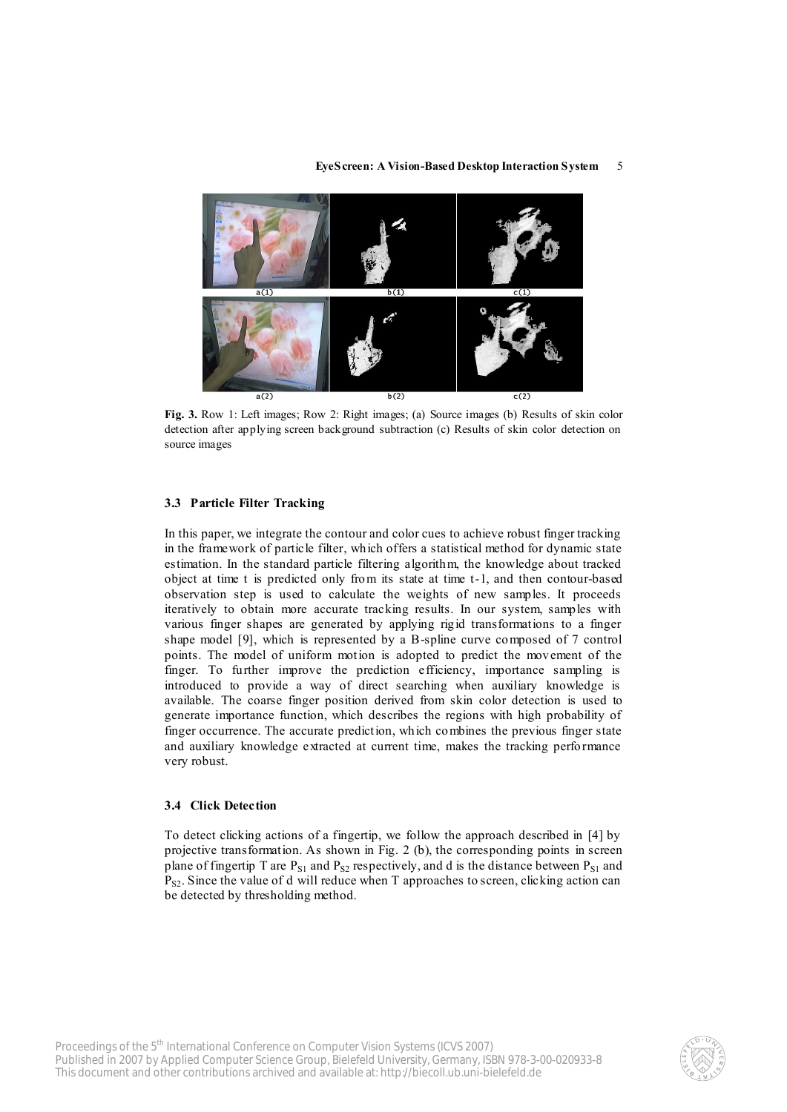

Fig. 3. Row 1: Left images; Row 2: Right images; (a) Source images (b) Results of skin color detection after applying screen background subtraction (c) Results of skin color detection on source images

#### **3.3 Particle Filter Tracking**

In this paper, we integrate the contour and color cues to achieve robust finger tracking in the framework of particle filter, which offers a statistical method for dynamic state estimation. In the standard particle filtering algorithm, the knowledge about tracked object at time t is predicted only from its state at time t-1, and then contour-based observation step is used to calculate the weights of new samples. It proceeds iteratively to obtain more accurate tracking results. In our system, samples with various finger shapes are generated by applying rigid transformations to a finger shape model [9], which is represented by a B-spline curve composed of 7 control points. The model of uniform motion is adopted to predict the mov ement of the finger. To further improve the prediction efficiency, importance sampling is introduced to provide a way of direct searching when auxiliary knowledge is available. The coarse finger position derived from skin color detection is used to generate importance function, which describes the regions with high probability of finger occurrence. The accurate prediction, which combines the previous finger state and auxiliary knowledge extracted at current time, makes the tracking performance very robust.

#### **3.4 Click Detection**

To detect clicking actions of a fingertip, we follow the approach described in [4] by projective transformation. As shown in Fig. 2 (b), the corresponding points in screen plane of fingertip T are  $P_{S1}$  and  $P_{S2}$  respectively, and d is the distance between  $P_{S1}$  and  $P_{S2}$ . Since the value of d will reduce when T approaches to screen, clicking action can be detected by thresholding method.

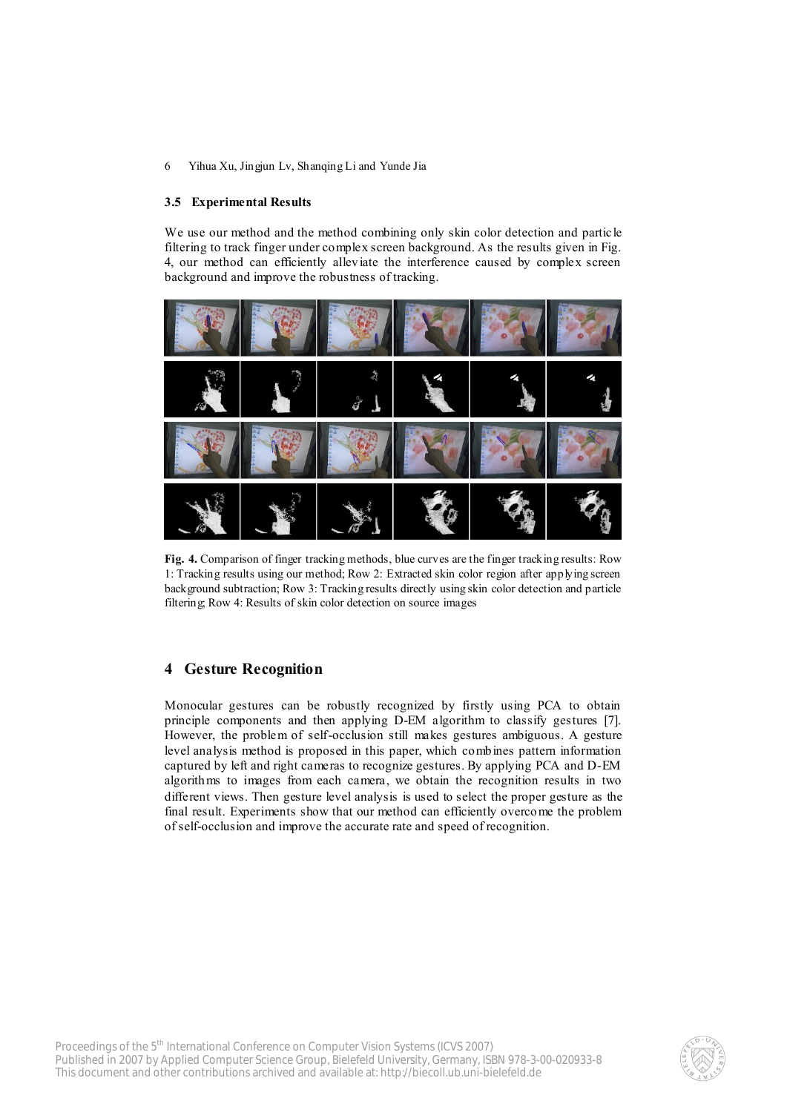### **3.5 Experimental Results**

We use our method and the method combining only skin color detection and particle filtering to track finger under complex screen background. As the results given in Fig. 4, our method can efficiently alleviate the interference caused by complex screen background and improve the robustness of tracking.



**Fig. 4.** Comparison of finger tracking methods, blue curves are the finger tracking results: Row 1: Tracking results using our method; Row 2: Extracted skin color region after applying screen background subtraction; Row 3: Tracking results directly using skin color detection and particle filtering; Row 4: Results of skin color detection on source images

# **4 Gesture Recognition**

Monocular gestures can be robustly recognized by firstly using PCA to obtain principle components and then applying D-EM algorithm to classify gestures [7]. However, the problem of self-occlusion still makes gestures ambiguous. A gesture level analysis method is proposed in this paper, which combines pattern information captured by left and right cameras to recognize gestures. By applying PCA and D-EM algorithms to images from each camera, we obtain the recognition results in two different views. Then gesture level analysis is used to select the proper gesture as the final result. Experiments show that our method can efficiently overcome the problem of self-occlusion and improve the accurate rate and speed of recognition.

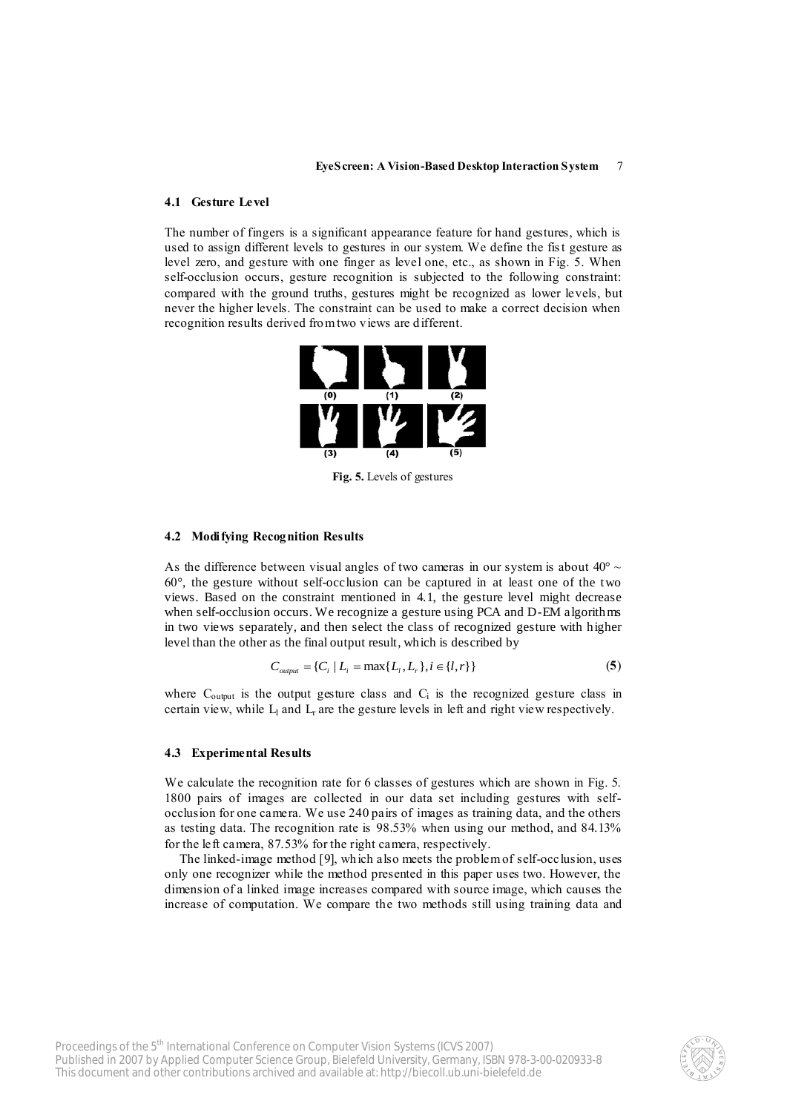#### **4.1 Gesture Level**

The number of fingers is a significant appearance feature for hand gestures, which is used to assign different levels to gestures in our system. We define the fis t gesture as level zero, and gesture with one finger as level one, etc., as shown in Fig. 5. When self-occlusion occurs, gesture recognition is subjected to the following constraint: compared with the ground truths, gestures might be recognized as lower levels, but never the higher levels. The constraint can be used to make a correct decision when recognition results derived from two views are different.



**Fig. 5.** Levels of gestures

#### **4.2 Modifying Recognition Results**

As the difference between visual angles of two cameras in our system is about  $40^{\circ} \sim$ 60°, the gesture without self-occlusion can be captured in at least one of the two views. Based on the constraint mentioned in 4.1, the gesture level might decrease when self-occlusion occurs. We recognize a gesture using PCA and D-EM algorithms in two views separately, and then select the class of recognized gesture with higher level than the other as the final output result, which is described by

$$
C_{\text{output}} = \{C_i \mid L_i = \max\{L_i, L_r\}, i \in \{l, r\}\}\tag{5}
$$

where  $C_{\text{output}}$  is the output gesture class and  $C_i$  is the recognized gesture class in certain view, while  $L_1$  and  $L_r$  are the gesture levels in left and right view respectively.

#### **4.3 Experimental Results**

We calculate the recognition rate for 6 classes of gestures which are shown in Fig. 5. 1800 pairs of images are collected in our data set including gestures with selfocclusion for one camera. We use 240 pairs of images as training data, and the others as testing data. The recognition rate is 98.53% when using our method, and 84.13% for the left camera, 87.53% for the right camera, respectively.

The linked-image method [9], which also meets the problem of self-occlusion, uses only one recognizer while the method presented in this paper uses two. However, the dimension of a linked image increases compared with source image, which causes the increase of computation. We compare the two methods still using training data and

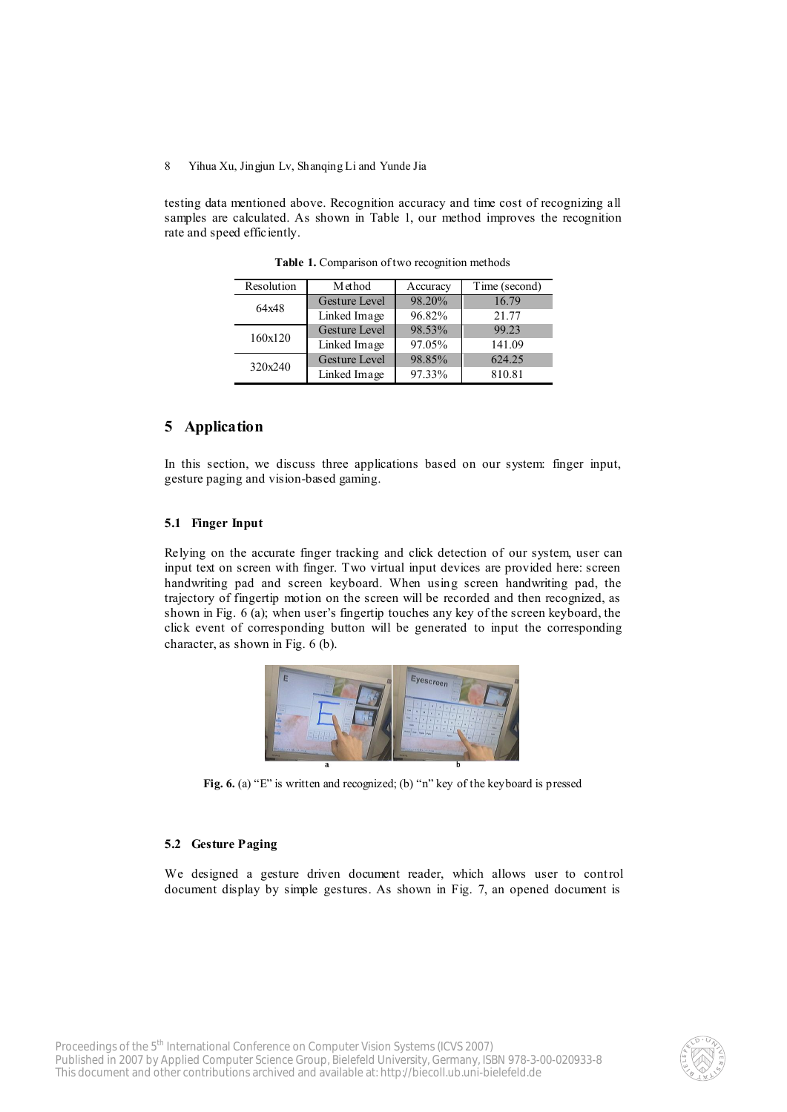testing data mentioned above. Recognition accuracy and time cost of recognizing all samples are calculated. As shown in Table 1, our method improves the recognition rate and speed efficiently.

| Resolution | Method               | Accuracy | Time (second) |
|------------|----------------------|----------|---------------|
| 64x48      | Gesture Level        | 98.20%   | 16.79         |
|            | Linked Image         | 96.82%   | 21.77         |
| 160x120    | <b>Gesture Level</b> | 98.53%   | 99.23         |
|            | Linked Image         | 97.05%   | 141.09        |
| 320x240    | <b>Gesture Level</b> | 98.85%   | 624 25        |
|            | Linked Image         | 97.33%   | 810.81        |

**Table 1.** Comparison of two recognition methods

## **5 Application**

In this section, we discuss three applications based on our system: finger input, gesture paging and vision-based gaming.

#### **5.1 Finger Input**

Relying on the accurate finger tracking and click detection of our system, user can input text on screen with finger. Two virtual input devices are provided here: screen handwriting pad and screen keyboard. When using screen handwriting pad, the trajectory of fingertip motion on the screen will be recorded and then recognized, as shown in Fig. 6 (a); when user's fingertip touches any key of the screen keyboard, the click event of corresponding button will be generated to input the corresponding character, as shown in Fig. 6 (b).



**Fig. 6.** (a) "E" is written and recognized; (b) "n" key of the keyboard is pressed

#### **5.2 Gesture Paging**

We designed a gesture driven document reader, which allows user to control document display by simple gestures. As shown in Fig. 7, an opened document is

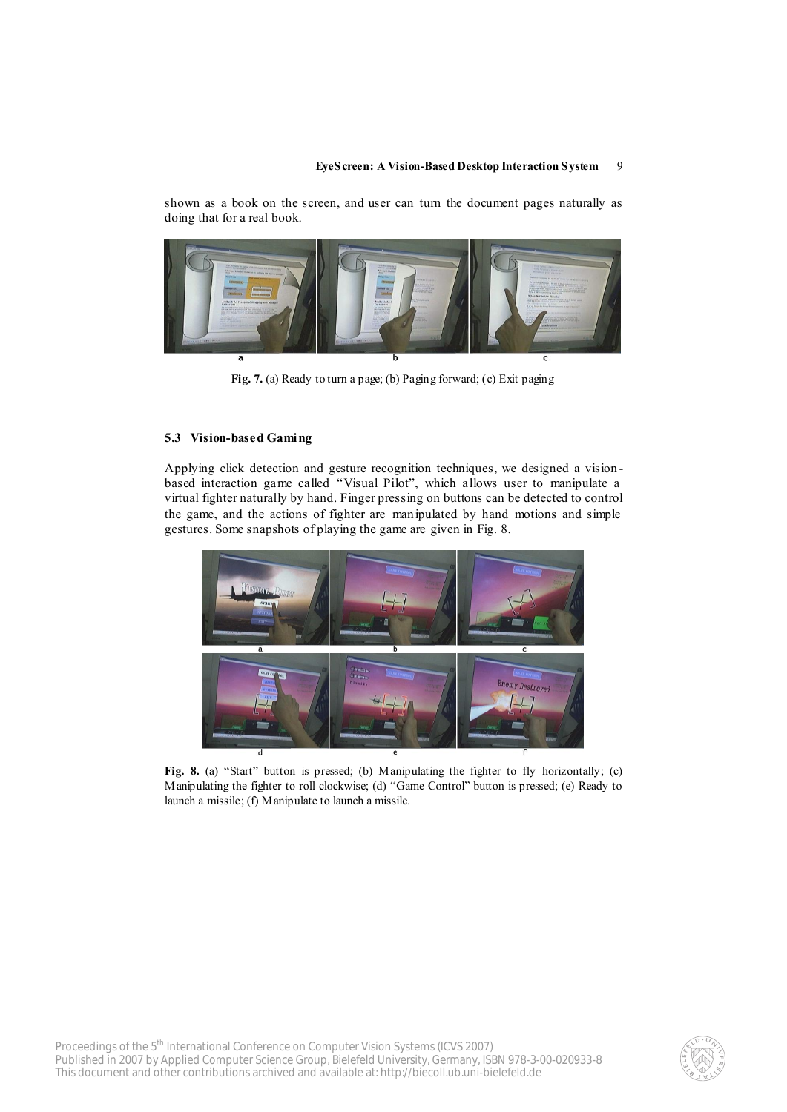shown as a book on the screen, and user can turn the document pages naturally as doing that for a real book.



**Fig. 7.** (a) Ready to turn a page; (b) Paging forward; (c) Exit paging

### **5.3 Vision-based Gaming**

Applying click detection and gesture recognition techniques, we designed a vision based interaction game called "Visual Pilot", which allows user to manipulate a virtual fighter naturally by hand. Finger pressing on buttons can be detected to control the game, and the actions of fighter are manipulated by hand motions and simple gestures. Some snapshots of playing the game are given in Fig. 8.



Fig. 8. (a) "Start" button is pressed; (b) Manipulating the fighter to fly horizontally; (c) Manipulating the fighter to roll clockwise; (d) "Game Control" button is pressed; (e) Ready to launch a missile; (f) Manipulate to launch a missile.